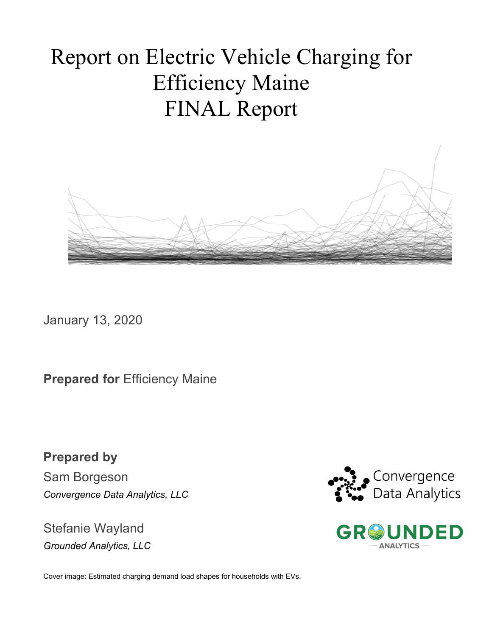# Report on Electric Vehicle Charging for Efficiency Maine FINAL Report



January 13, 2020

**Prepared for Efficiency Maine** 

**Prepared by**  Sam Borgeson *Convergence Data Analytics, LLC*

Stefanie Wayland *Grounded Analytics, LLC*





Cover image: Estimated charging demand load shapes for households with EVs.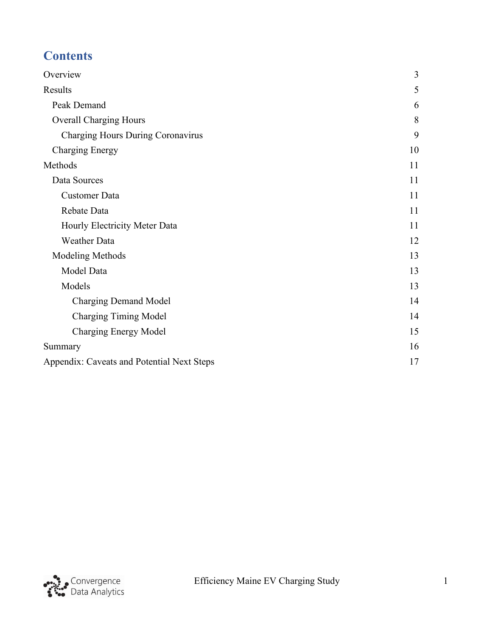# **Contents**

| Overview                                   | 3  |
|--------------------------------------------|----|
| Results                                    | 5  |
| Peak Demand                                | 6  |
| <b>Overall Charging Hours</b>              | 8  |
| Charging Hours During Coronavirus          | 9  |
| <b>Charging Energy</b>                     | 10 |
| Methods                                    | 11 |
| Data Sources                               | 11 |
| <b>Customer Data</b>                       | 11 |
| Rebate Data                                | 11 |
| Hourly Electricity Meter Data              | 11 |
| <b>Weather Data</b>                        | 12 |
| Modeling Methods                           | 13 |
| Model Data                                 | 13 |
| Models                                     | 13 |
| <b>Charging Demand Model</b>               | 14 |
| <b>Charging Timing Model</b>               | 14 |
| <b>Charging Energy Model</b>               | 15 |
| Summary                                    | 16 |
| Appendix: Caveats and Potential Next Steps | 17 |

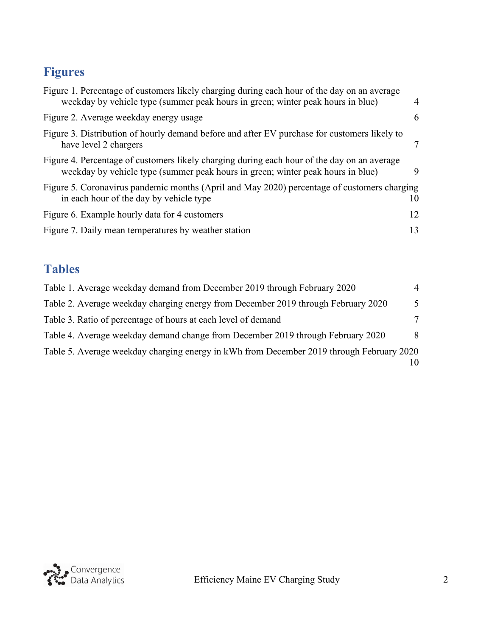# **Figures**

| Figure 1. Percentage of customers likely charging during each hour of the day on an average<br>weekday by vehicle type (summer peak hours in green; winter peak hours in blue) | $\overline{4}$ |
|--------------------------------------------------------------------------------------------------------------------------------------------------------------------------------|----------------|
| Figure 2. Average weekday energy usage                                                                                                                                         | 6              |
| Figure 3. Distribution of hourly demand before and after EV purchase for customers likely to<br>have level 2 chargers                                                          |                |
| Figure 4. Percentage of customers likely charging during each hour of the day on an average<br>weekday by vehicle type (summer peak hours in green; winter peak hours in blue) | 9              |
| Figure 5. Coronavirus pandemic months (April and May 2020) percentage of customers charging<br>in each hour of the day by vehicle type                                         | 10             |
| Figure 6. Example hourly data for 4 customers                                                                                                                                  | 12             |
| Figure 7. Daily mean temperatures by weather station                                                                                                                           | 13             |
|                                                                                                                                                                                |                |

## **Tables**

| Table 1. Average weekday demand from December 2019 through February 2020                 | $\overline{4}$ |
|------------------------------------------------------------------------------------------|----------------|
| Table 2. Average weekday charging energy from December 2019 through February 2020        | $\overline{5}$ |
| Table 3. Ratio of percentage of hours at each level of demand                            | 7              |
| Table 4. Average weekday demand change from December 2019 through February 2020          | 8              |
| Table 5. Average weekday charging energy in kWh from December 2019 through February 2020 |                |
|                                                                                          |                |

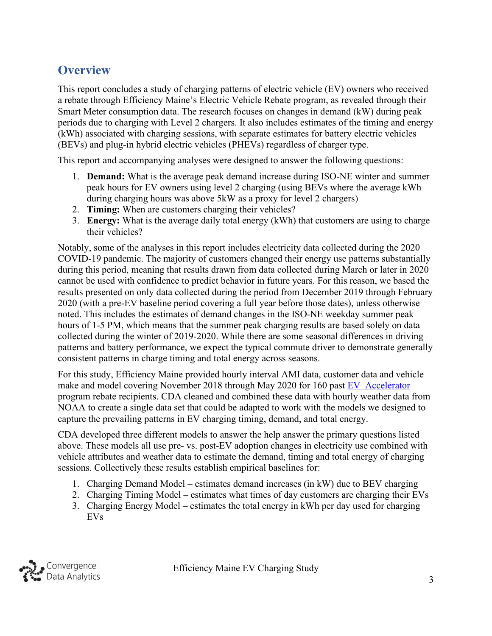### <span id="page-3-0"></span>**Overview**

This report concludes a study of charging patterns of electric vehicle (EV) owners who received a rebate through Efficiency Maine's Electric Vehicle Rebate program, as revealed through their Smart Meter consumption data. The research focuses on changes in demand (kW) during peak periods due to charging with Level 2 chargers. It also includes estimates of the timing and energy (kWh) associated with charging sessions, with separate estimates for battery electric vehicles (BEVs) and plug-in hybrid electric vehicles (PHEVs) regardless of charger type.

This report and accompanying analyses were designed to answer the following questions:

- 1. **Demand:** What is the average peak demand increase during ISO-NE winter and summer peak hours for EV owners using level 2 charging (using BEVs where the average kWh during charging hours was above 5kW as a proxy for level 2 chargers)
- 2. **Timing:** When are customers charging their vehicles?
- 3. **Energy:** What is the average daily total energy (kWh) that customers are using to charge their vehicles?

Notably, some of the analyses in this report includes electricity data collected during the 2020 COVID-19 pandemic. The majority of customers changed their energy use patterns substantially during this period, meaning that results drawn from data collected during March or later in 2020 cannot be used with confidence to predict behavior in future years. For this reason, we based the results presented on only data collected during the period from December 2019 through February 2020 (with a pre-EV baseline period covering a full year before those dates), unless otherwise noted. This includes the estimates of demand changes in the ISO-NE weekday summer peak hours of 1-5 PM, which means that the summer peak charging results are based solely on data collected during the winter of 2019-2020. While there are some seasonal differences in driving patterns and battery performance, we expect the typical commute driver to demonstrate generally consistent patterns in charge timing and total energy across seasons.

For this study, Efficiency Maine provided hourly interval AMI data, customer data and vehicle make and model covering November 2018 through May 2020 for 160 past [EV Accelerator](https://www.efficiencymaine.com/ev/electric-vehicle-rebates/?gclid=CjwKCAjwiaX8BRBZEiwAQQxGx49VvtvJdxvomGsChqxJFeusejcBV375A1Z3EuiONdW50aap54Jo7hoC0h8QAvD_BwE) program rebate recipients. CDA cleaned and combined these data with hourly weather data from NOAA to create a single data set that could be adapted to work with the models we designed to capture the prevailing patterns in EV charging timing, demand, and total energy.

CDA developed three different models to answer the help answer the primary questions listed above. These models all use pre- vs. post-EV adoption changes in electricity use combined with vehicle attributes and weather data to estimate the demand, timing and total energy of charging sessions. Collectively these results establish empirical baselines for:

- 1. Charging Demand Model estimates demand increases (in kW) due to BEV charging
- 2. Charging Timing Model estimates what times of day customers are charging their EVs
- 3. Charging Energy Model estimates the total energy in kWh per day used for charging EVs

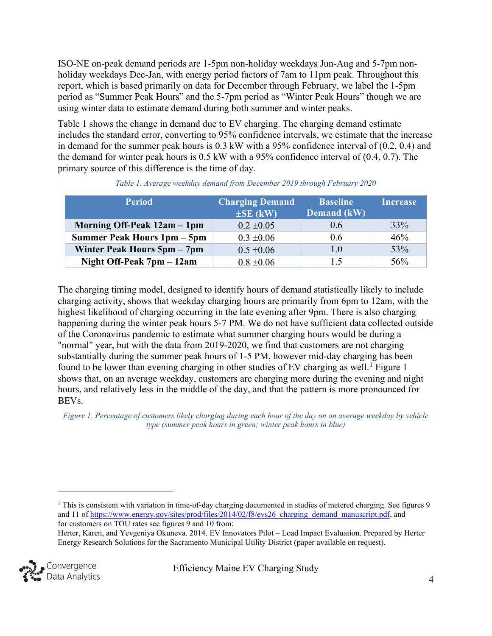ISO-NE on-peak demand periods are 1-5pm non-holiday weekdays Jun-Aug and 5-7pm nonholiday weekdays Dec-Jan, with energy period factors of 7am to 11pm peak. Throughout this report, which is based primarily on data for December through February, we label the 1-5pm period as "Summer Peak Hours" and the 5-7pm period as "Winter Peak Hours" though we are using winter data to estimate demand during both summer and winter peaks.

[Table 1](#page-4-1) shows the change in demand due to EV charging. The charging demand estimate includes the standard error, converting to 95% confidence intervals, we estimate that the increase in demand for the summer peak hours is 0.3 kW with a 95% confidence interval of (0.2, 0.4) and the demand for winter peak hours is 0.5 kW with a 95% confidence interval of (0.4, 0.7). The primary source of this difference is the time of day.

<span id="page-4-1"></span>

| <b>Period</b>               | <b>Charging Demand</b> | <b>Baseline</b> | <b>Increase</b> |
|-----------------------------|------------------------|-----------------|-----------------|
|                             | $\pm$ SE (kW)          | Demand (kW)     |                 |
| Morning Off-Peak 12am - 1pm | $0.2 \pm 0.05$         | 0.6             | 33%             |
| Summer Peak Hours 1pm – 5pm | $0.3 \pm 0.06$         | 0.6             | 46%             |
| Winter Peak Hours 5pm – 7pm | $0.5 \pm 0.06$         | 1.0             | 53%             |
| Night Off-Peak 7pm – 12am   | $0.8 \pm 0.06$         | 1.5             | 56%             |

| Table 1. Average weekday demand from December 2019 through February 2020 |  |  |  |
|--------------------------------------------------------------------------|--|--|--|
|                                                                          |  |  |  |

The charging timing model, designed to identify hours of demand statistically likely to include charging activity, shows that weekday charging hours are primarily from 6pm to 12am, with the highest likelihood of charging occurring in the late evening after 9pm. There is also charging happening during the winter peak hours 5-7 PM. We do not have sufficient data collected outside of the Coronavirus pandemic to estimate what summer charging hours would be during a "normal" year, but with the data from 2019-2020, we find that customers are not charging substantially during the summer peak hours of 1-5 PM, however mid-day charging has been found to be lower than evening charging in other studies of EV charging as well.<sup>[1](#page-4-2)</sup> [Figure 1](#page-4-0) shows that, on an average weekday, customers are charging more during the evening and night hours, and relatively less in the middle of the day, and that the pattern is more pronounced for BEVs.

<span id="page-4-0"></span>*Figure 1. Percentage of customers likely charging during each hour of the day on an average weekday by vehicle type (summer peak hours in green; winter peak hours in blue)*

<span id="page-4-2"></span>Herter, Karen, and Yevgeniya Okuneva. 2014. EV Innovators Pilot – Load Impact Evaluation. Prepared by Herter Energy Research Solutions for the Sacramento Municipal Utility District (paper available on request).



<sup>&</sup>lt;sup>1</sup> This is consistent with variation in time-of-day charging documented in studies of metered charging. See figures 9 and 11 of [https://www.energy.gov/sites/prod/files/2014/02/f8/evs26\\_charging\\_demand\\_manuscript.pdf,](https://www.energy.gov/sites/prod/files/2014/02/f8/evs26_charging_demand_manuscript.pdf) and for customers on TOU rates see figures 9 and 10 from: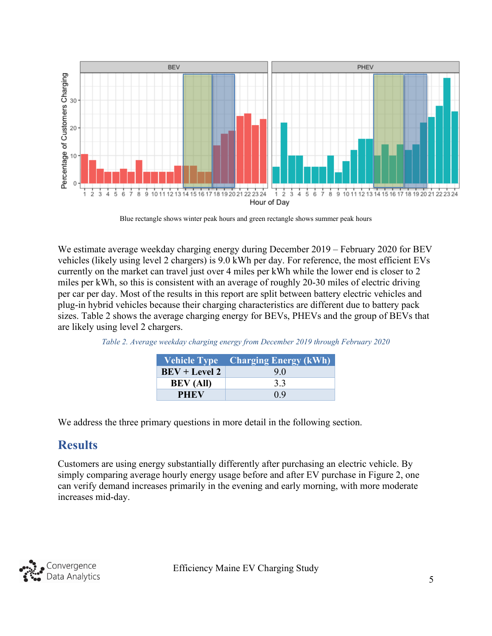

Blue rectangle shows winter peak hours and green rectangle shows summer peak hours

We estimate average weekday charging energy during December 2019 – February 2020 for BEV vehicles (likely using level 2 chargers) is 9.0 kWh per day. For reference, the most efficient EVs currently on the market can travel just over 4 miles per kWh while the lower end is closer to 2 miles per kWh, so this is consistent with an average of roughly 20-30 miles of electric driving per car per day. Most of the results in this report are split between battery electric vehicles and plug-in hybrid vehicles because their charging characteristics are different due to battery pack sizes. [Table 2](#page-5-1) shows the average charging energy for BEVs, PHEVs and the group of BEVs that are likely using level 2 chargers.

| <b>Vehicle Type</b> | <b>Charging Energy (kWh)</b> |
|---------------------|------------------------------|
| $BEV + Level 2$     | 9.0                          |
| <b>BEV</b> (All)    | 3.3                          |
| <b>PHEV</b>         | 09                           |

<span id="page-5-1"></span>*Table 2. Average weekday charging energy from December 2019 through February 2020*

We address the three primary questions in more detail in the following section.

### <span id="page-5-0"></span>**Results**

Customers are using energy substantially differently after purchasing an electric vehicle. By simply comparing average hourly energy usage before and after EV purchase in [Figure 2,](#page-6-1) one can verify demand increases primarily in the evening and early morning, with more moderate increases mid-day.

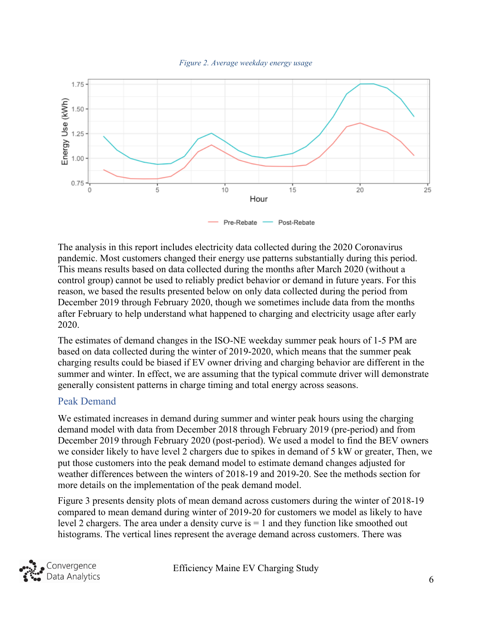

<span id="page-6-1"></span>

The analysis in this report includes electricity data collected during the 2020 Coronavirus pandemic. Most customers changed their energy use patterns substantially during this period. This means results based on data collected during the months after March 2020 (without a control group) cannot be used to reliably predict behavior or demand in future years. For this reason, we based the results presented below on only data collected during the period from December 2019 through February 2020, though we sometimes include data from the months after February to help understand what happened to charging and electricity usage after early 2020.

The estimates of demand changes in the ISO-NE weekday summer peak hours of 1-5 PM are based on data collected during the winter of 2019-2020, which means that the summer peak charging results could be biased if EV owner driving and charging behavior are different in the summer and winter. In effect, we are assuming that the typical commute driver will demonstrate generally consistent patterns in charge timing and total energy across seasons.

#### <span id="page-6-0"></span>Peak Demand

We estimated increases in demand during summer and winter peak hours using the charging demand model with data from December 2018 through February 2019 (pre-period) and from December 2019 through February 2020 (post-period). We used a model to find the BEV owners we consider likely to have level 2 chargers due to spikes in demand of 5 kW or greater, Then, we put those customers into the peak demand model to estimate demand changes adjusted for weather differences between the winters of 2018-19 and 2019-20. See the methods section for more details on the implementation of the peak demand model.

[Figure](#page-7-0) 3 presents density plots of mean demand across customers during the winter of 2018-19 compared to mean demand during winter of 2019-20 for customers we model as likely to have level 2 chargers. The area under a density curve is  $= 1$  and they function like smoothed out histograms. The vertical lines represent the average demand across customers. There was

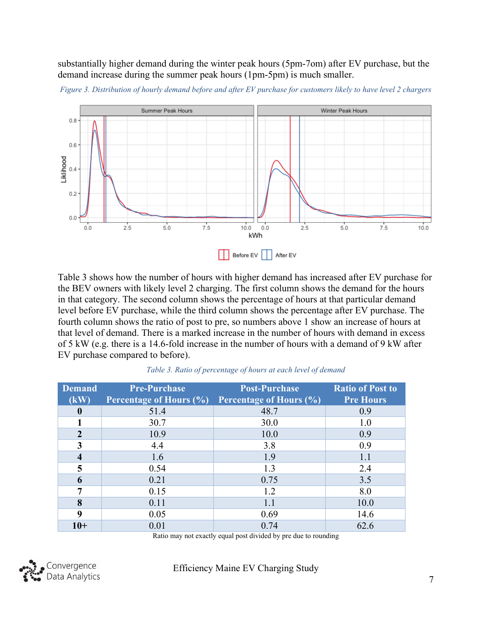substantially higher demand during the winter peak hours (5pm-7om) after EV purchase, but the demand increase during the summer peak hours (1pm-5pm) is much smaller.



<span id="page-7-0"></span>*Figure 3. Distribution of hourly demand before and after EV purchase for customers likely to have level 2 chargers*

[Table 3](#page-7-1) shows how the number of hours with higher demand has increased after EV purchase for the BEV owners with likely level 2 charging. The first column shows the demand for the hours in that category. The second column shows the percentage of hours at that particular demand level before EV purchase, while the third column shows the percentage after EV purchase. The fourth column shows the ratio of post to pre, so numbers above 1 show an increase of hours at that level of demand. There is a marked increase in the number of hours with demand in excess of 5 kW (e.g. there is a 14.6-fold increase in the number of hours with a demand of 9 kW after EV purchase compared to before).

<span id="page-7-1"></span>

| <b>Demand</b>           | <b>Pre-Purchase</b>            | <b>Post-Purchase</b>           | <b>Ratio of Post to</b> |
|-------------------------|--------------------------------|--------------------------------|-------------------------|
| (kW)                    | <b>Percentage of Hours (%)</b> | <b>Percentage of Hours (%)</b> | <b>Pre Hours</b>        |
| $\mathbf{0}$            | 51.4                           | 48.7                           | 0.9                     |
|                         | 30.7                           | 30.0                           | 1.0                     |
| $\overline{2}$          | 10.9                           | 10.0                           | 0.9                     |
| 3                       | 4.4                            | 3.8                            | 0.9                     |
| $\overline{\mathbf{4}}$ | 1.6                            | 1.9                            | 1.1                     |
| 5                       | 0.54                           | 1.3                            | 2.4                     |
| 6                       | 0.21                           | 0.75                           | 3.5                     |
| 7                       | 0.15                           | 1.2                            | 8.0                     |
| 8                       | 0.11                           | 1.1                            | 10.0                    |
| 9                       | 0.05                           | 0.69                           | 14.6                    |
| $10+$                   | 0.01                           | 0.74                           | 62.6                    |

*Table 3. Ratio of percentage of hours at each level of demand*

Ratio may not exactly equal post divided by pre due to rounding

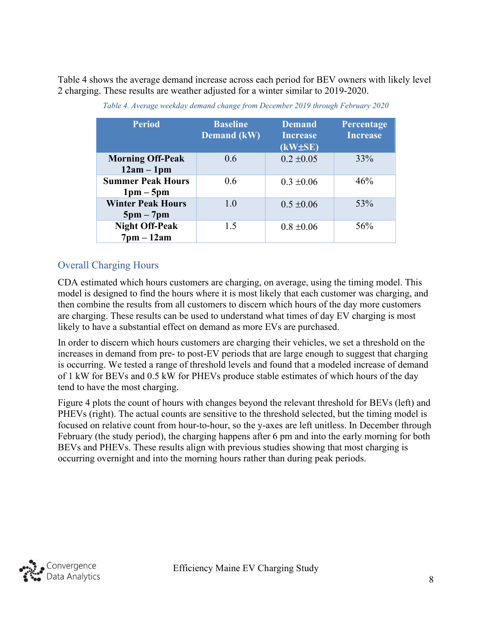<span id="page-8-1"></span>[Table 4](#page-8-1) shows the average demand increase across each period for BEV owners with likely level 2 charging. These results are weather adjusted for a winter similar to 2019-2020.

| <b>Period</b>                                           | <b>Baseline</b><br><b>Demand</b> (kW) | <b>Demand</b><br><b>Increase</b><br>$(kW\pm SE)$ | Percentage<br><b>Increase</b> |
|---------------------------------------------------------|---------------------------------------|--------------------------------------------------|-------------------------------|
| <b>Morning Off-Peak</b><br>$12am - 1pm$                 | 0.6                                   | $0.2 \pm 0.05$                                   | 33%                           |
| <b>Summer Peak Hours</b><br>$1 \text{pm} - 5 \text{pm}$ | 0.6                                   | $0.3 \pm 0.06$                                   | 46%                           |
| <b>Winter Peak Hours</b><br>$5pm - 7pm$                 | 1.0                                   | $0.5 \pm 0.06$                                   | 53%                           |
| <b>Night Off-Peak</b><br>$7$ pm $-12$ am                | 1.5                                   | $0.8 \pm 0.06$                                   | 56%                           |

| Table 4. Average weekday demand change from December 2019 through February 2020 |  |  |  |
|---------------------------------------------------------------------------------|--|--|--|
|---------------------------------------------------------------------------------|--|--|--|

#### <span id="page-8-0"></span>Overall Charging Hours

CDA estimated which hours customers are charging, on average, using the timing model. This model is designed to find the hours where it is most likely that each customer was charging, and then combine the results from all customers to discern which hours of the day more customers are charging. These results can be used to understand what times of day EV charging is most likely to have a substantial effect on demand as more EVs are purchased.

In order to discern which hours customers are charging their vehicles, we set a threshold on the increases in demand from pre- to post-EV periods that are large enough to suggest that charging is occurring. We tested a range of threshold levels and found that a modeled increase of demand of 1 kW for BEVs and 0.5 kW for PHEVs produce stable estimates of which hours of the day tend to have the most charging.

[Figure 4](#page-9-1) plots the count of hours with changes beyond the relevant threshold for BEVs (left) and PHEVs (right). The actual counts are sensitive to the threshold selected, but the timing model is focused on relative count from hour-to-hour, so the y-axes are left unitless. In December through February (the study period), the charging happens after 6 pm and into the early morning for both BEVs and PHEVs. These results align with previous studies showing that most charging is occurring overnight and into the morning hours rather than during peak periods.

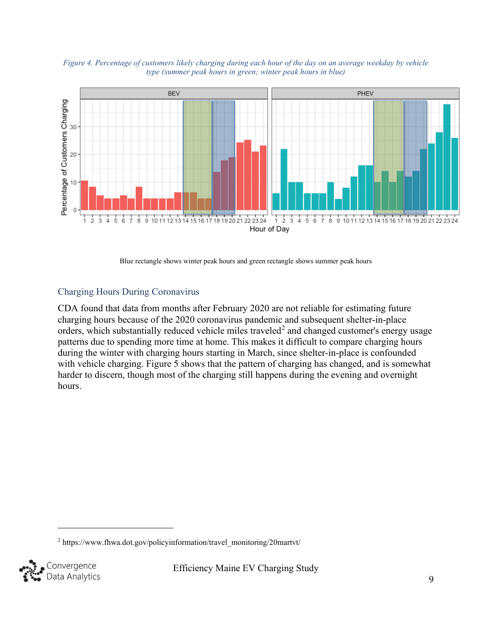

<span id="page-9-1"></span>*Figure 4. Percentage of customers likely charging during each hour of the day on an average weekday by vehicle type (summer peak hours in green; winter peak hours in blue)*

Blue rectangle shows winter peak hours and green rectangle shows summer peak hours

#### <span id="page-9-0"></span>Charging Hours During Coronavirus

CDA found that data from months after February 2020 are not reliable for estimating future charging hours because of the 2020 coronavirus pandemic and subsequent shelter-in-place orders, which substantially reduced vehicle miles traveled<sup>[2](#page-9-2)</sup> and changed customer's energy usage patterns due to spending more time at home. This makes it difficult to compare charging hours during the winter with charging hours starting in March, since shelter-in-place is confounded with vehicle charging. [Figure 5](#page-10-1) shows that the pattern of charging has changed, and is somewhat harder to discern, though most of the charging still happens during the evening and overnight hours.

<span id="page-9-2"></span><sup>&</sup>lt;sup>2</sup> https://www.fhwa.dot.gov/policyinformation/travel\_monitoring/20martvt/

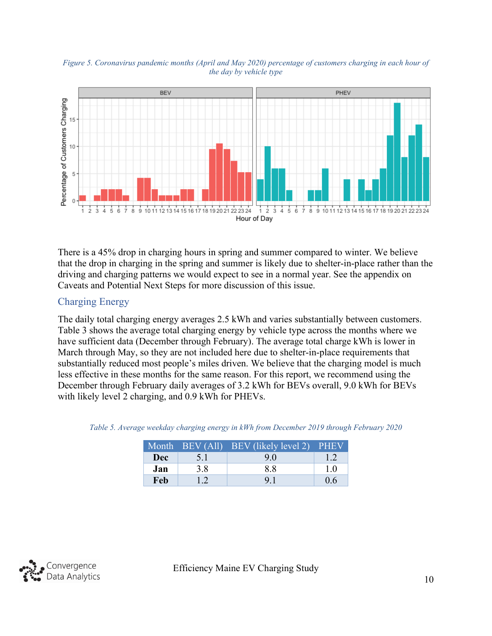<span id="page-10-1"></span>*Figure 5. Coronavirus pandemic months (April and May 2020) percentage of customers charging in each hour of the day by vehicle type*



There is a 45% drop in charging hours in spring and summer compared to winter. We believe that the drop in charging in the spring and summer is likely due to shelter-in-place rather than the driving and charging patterns we would expect to see in a normal year. See the appendix on Caveats and Potential Next Steps for more discussion of this issue.

#### <span id="page-10-0"></span>Charging Energy

The daily total charging energy averages 2.5 kWh and varies substantially between customers. Table 3 shows the average total charging energy by vehicle type across the months where we have sufficient data (December through February). The average total charge kWh is lower in March through May, so they are not included here due to shelter-in-place requirements that substantially reduced most people's miles driven. We believe that the charging model is much less effective in these months for the same reason. For this report, we recommend using the December through February daily averages of 3.2 kWh for BEVs overall, 9.0 kWh for BEVs with likely level 2 charging, and 0.9 kWh for PHEVs.

|            |     | Month BEV (All) BEV (likely level 2) PHEV |     |
|------------|-----|-------------------------------------------|-----|
| <b>Dec</b> | 5.1 | 9.0                                       | 1.2 |
| Jan        | 3.8 | 8.8                                       | 1.0 |
| Feb        | 12  | 9.1                                       | 0.6 |

<span id="page-10-2"></span>*Table 5. Average weekday charging energy in kWh from December 2019 through February 2020*

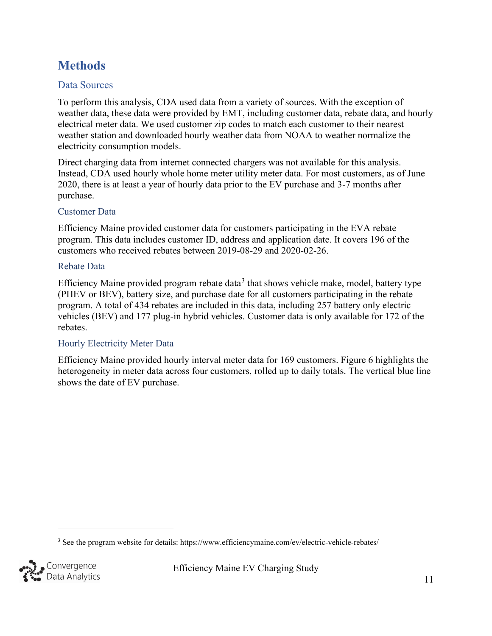### <span id="page-11-0"></span>**Methods**

#### <span id="page-11-1"></span>Data Sources

To perform this analysis, CDA used data from a variety of sources. With the exception of weather data, these data were provided by EMT, including customer data, rebate data, and hourly electrical meter data. We used customer zip codes to match each customer to their nearest weather station and downloaded hourly weather data from NOAA to weather normalize the electricity consumption models.

Direct charging data from internet connected chargers was not available for this analysis. Instead, CDA used hourly whole home meter utility meter data. For most customers, as of June 2020, there is at least a year of hourly data prior to the EV purchase and 3-7 months after purchase.

#### <span id="page-11-2"></span>Customer Data

Efficiency Maine provided customer data for customers participating in the EVA rebate program. This data includes customer ID, address and application date. It covers 196 of the customers who received rebates between 2019-08-29 and 2020-02-26.

#### <span id="page-11-3"></span>Rebate Data

Efficiency Maine provided program rebate data<sup>[3](#page-11-5)</sup> that shows vehicle make, model, battery type (PHEV or BEV), battery size, and purchase date for all customers participating in the rebate program. A total of 434 rebates are included in this data, including 257 battery only electric vehicles (BEV) and 177 plug-in hybrid vehicles. Customer data is only available for 172 of the rebates.

#### <span id="page-11-4"></span>Hourly Electricity Meter Data

Efficiency Maine provided hourly interval meter data for 169 customers. [Figure 6](#page-12-1) highlights the heterogeneity in meter data across four customers, rolled up to daily totals. The vertical blue line shows the date of EV purchase.

<span id="page-11-5"></span><sup>3</sup> See the program website for details: https://www.efficiencymaine.com/ev/electric-vehicle-rebates/

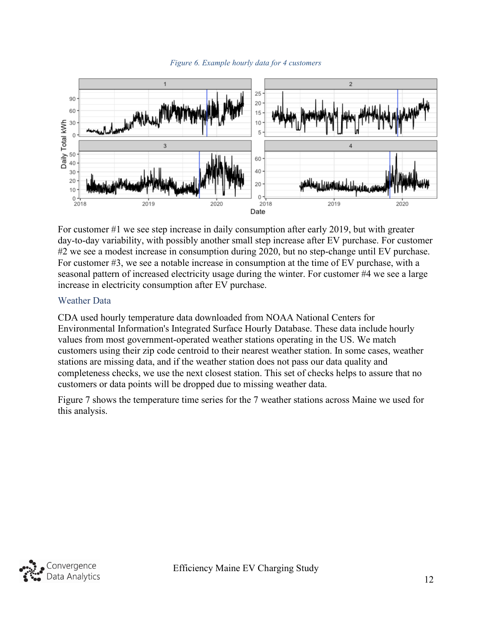

<span id="page-12-1"></span>

For customer #1 we see step increase in daily consumption after early 2019, but with greater day-to-day variability, with possibly another small step increase after EV purchase. For customer #2 we see a modest increase in consumption during 2020, but no step-change until EV purchase. For customer #3, we see a notable increase in consumption at the time of EV purchase, with a seasonal pattern of increased electricity usage during the winter. For customer #4 we see a large increase in electricity consumption after EV purchase.

#### <span id="page-12-0"></span>Weather Data

CDA used hourly temperature data downloaded from NOAA National Centers for Environmental Information's Integrated Surface Hourly Database. These data include hourly values from most government-operated weather stations operating in the US. We match customers using their zip code centroid to their nearest weather station. In some cases, weather stations are missing data, and if the weather station does not pass our data quality and completeness checks, we use the next closest station. This set of checks helps to assure that no customers or data points will be dropped due to missing weather data.

[Figure 7](#page-13-3) shows the temperature time series for the 7 weather stations across Maine we used for this analysis.

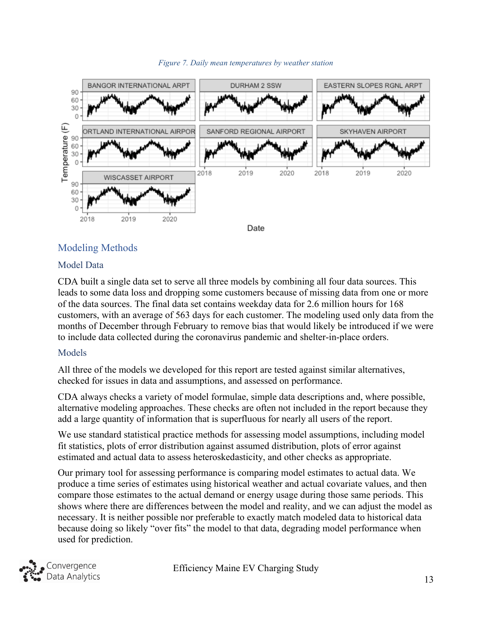<span id="page-13-3"></span>

#### *Figure 7. Daily mean temperatures by weather station*

#### <span id="page-13-0"></span>Modeling Methods

#### <span id="page-13-1"></span>Model Data

CDA built a single data set to serve all three models by combining all four data sources. This leads to some data loss and dropping some customers because of missing data from one or more of the data sources. The final data set contains weekday data for 2.6 million hours for 168 customers, with an average of 563 days for each customer. The modeling used only data from the months of December through February to remove bias that would likely be introduced if we were to include data collected during the coronavirus pandemic and shelter-in-place orders.

#### <span id="page-13-2"></span>Models

All three of the models we developed for this report are tested against similar alternatives, checked for issues in data and assumptions, and assessed on performance.

CDA always checks a variety of model formulae, simple data descriptions and, where possible, alternative modeling approaches. These checks are often not included in the report because they add a large quantity of information that is superfluous for nearly all users of the report.

We use standard statistical practice methods for assessing model assumptions, including model fit statistics, plots of error distribution against assumed distribution, plots of error against estimated and actual data to assess heteroskedasticity, and other checks as appropriate.

Our primary tool for assessing performance is comparing model estimates to actual data. We produce a time series of estimates using historical weather and actual covariate values, and then compare those estimates to the actual demand or energy usage during those same periods. This shows where there are differences between the model and reality, and we can adjust the model as necessary. It is neither possible nor preferable to exactly match modeled data to historical data because doing so likely "over fits" the model to that data, degrading model performance when used for prediction.

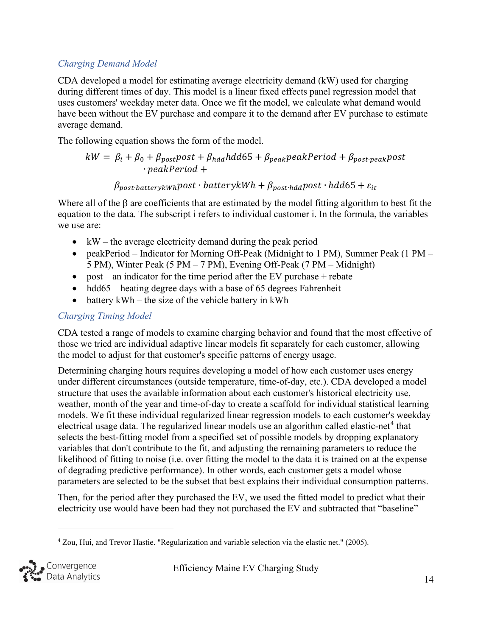#### <span id="page-14-0"></span>*Charging Demand Model*

CDA developed a model for estimating average electricity demand (kW) used for charging during different times of day. This model is a linear fixed effects panel regression model that uses customers' weekday meter data. Once we fit the model, we calculate what demand would have been without the EV purchase and compare it to the demand after EV purchase to estimate average demand.

The following equation shows the form of the model.

$$
kW = \beta_i + \beta_0 + \beta_{post}post + \beta_{hdd}hdd65 + \beta_{peak}peakPeriod + \beta_{post\cdot peak}post
$$
  
.  
 
$$
\cdot peakPeriod +
$$

 $\beta_{\text{nost} \cdot \text{hatter} \times \text{Wh}}$ post · batteryk $Wh + \beta_{\text{nost} \cdot \text{hd}}$ post · hdd65 +  $\varepsilon_{it}$ 

Where all of the β are coefficients that are estimated by the model fitting algorithm to best fit the equation to the data. The subscript i refers to individual customer i. In the formula, the variables we use are:

- kW the average electricity demand during the peak period
- peakPeriod Indicator for Morning Off-Peak (Midnight to 1 PM), Summer Peak (1 PM 5 PM), Winter Peak (5 PM – 7 PM), Evening Off-Peak (7 PM – Midnight)
- post an indicator for the time period after the EV purchase  $+$  rebate
- hdd $65$  heating degree days with a base of 65 degrees Fahrenheit
- battery  $kWh$  the size of the vehicle battery in  $kWh$

#### <span id="page-14-1"></span>*Charging Timing Model*

CDA tested a range of models to examine charging behavior and found that the most effective of those we tried are individual adaptive linear models fit separately for each customer, allowing the model to adjust for that customer's specific patterns of energy usage.

Determining charging hours requires developing a model of how each customer uses energy under different circumstances (outside temperature, time-of-day, etc.). CDA developed a model structure that uses the available information about each customer's historical electricity use, weather, month of the year and time-of-day to create a scaffold for individual statistical learning models. We fit these individual regularized linear regression models to each customer's weekday electrical usage data. The regularized linear models use an algorithm called elastic-net<sup>[4](#page-14-2)</sup> that selects the best-fitting model from a specified set of possible models by dropping explanatory variables that don't contribute to the fit, and adjusting the remaining parameters to reduce the likelihood of fitting to noise (i.e. over fitting the model to the data it is trained on at the expense of degrading predictive performance). In other words, each customer gets a model whose parameters are selected to be the subset that best explains their individual consumption patterns.

Then, for the period after they purchased the EV, we used the fitted model to predict what their electricity use would have been had they not purchased the EV and subtracted that "baseline"

<span id="page-14-2"></span><sup>4</sup> Zou, Hui, and Trevor Hastie. "Regularization and variable selection via the elastic net." (2005).

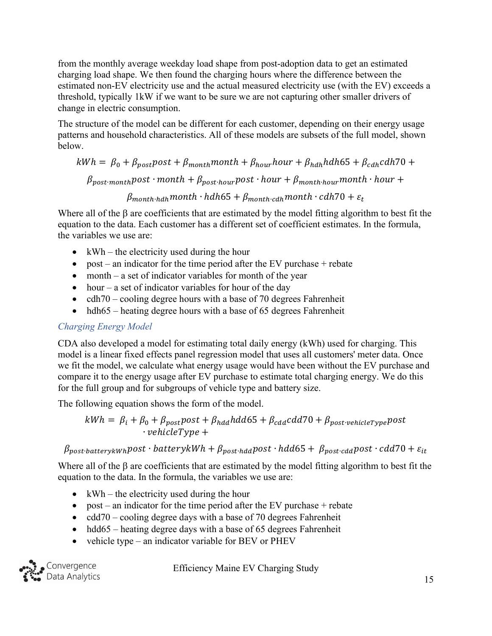from the monthly average weekday load shape from post-adoption data to get an estimated charging load shape. We then found the charging hours where the difference between the estimated non-EV electricity use and the actual measured electricity use (with the EV) exceeds a threshold, typically 1kW if we want to be sure we are not capturing other smaller drivers of change in electric consumption.

The structure of the model can be different for each customer, depending on their energy usage patterns and household characteristics. All of these models are subsets of the full model, shown below.

 $kWh = \beta_0 + \beta_{post}$  post +  $\beta_{month}$  month +  $\beta_{hour}$  hour +  $\beta_{hdh}$  hdh65 +  $\beta_{cdh}$  cdh70 +

 $\beta_{post-month}$   $post \cdot month + \beta_{post \cdot hour}$   $post \cdot hour + \beta_{month \cdot hour}$   $noth \cdot hour +$ 

 $\beta_{month\cdot hdh}$  month  $\cdot$  hdh65 +  $\beta_{month\cdot cdh}$  month  $\cdot$  cdh70 +  $\varepsilon_t$ 

Where all of the  $\beta$  are coefficients that are estimated by the model fitting algorithm to best fit the equation to the data. Each customer has a different set of coefficient estimates. In the formula, the variables we use are:

- $kWh$  the electricity used during the hour
- post an indicator for the time period after the EV purchase  $+$  rebate
- month  $-$  a set of indicator variables for month of the year
- hour a set of indicator variables for hour of the day
- cdh $70 \text{cooling degree hours with a base of } 70 \text{ degrees Fahrenheit}$
- hdh $65$  heating degree hours with a base of 65 degrees Fahrenheit

#### <span id="page-15-0"></span>*Charging Energy Model*

CDA also developed a model for estimating total daily energy (kWh) used for charging. This model is a linear fixed effects panel regression model that uses all customers' meter data. Once we fit the model, we calculate what energy usage would have been without the EV purchase and compare it to the energy usage after EV purchase to estimate total charging energy. We do this for the full group and for subgroups of vehicle type and battery size.

The following equation shows the form of the model.

$$
kWh = \beta_i + \beta_0 + \beta_{post}post + \beta_{had} hdd65 + \beta_{cda} cdd70 + \beta_{post\text{-}vehicleType} post
$$
  
 
$$
\cdot \text{} vehicleType +
$$

 $\beta_{post\text{-}batterykWh}$ post · batteryk $Wh + \beta_{post\text{-}had}$ post · hdd65 +  $\beta_{post\text{-}cad}$ post · cdd70 +  $\varepsilon_{it}$ 

Where all of the  $\beta$  are coefficients that are estimated by the model fitting algorithm to best fit the equation to the data. In the formula, the variables we use are:

- kWh the electricity used during the hour
- post an indicator for the time period after the EV purchase  $+$  rebate
- $\text{cdd70} \text{cooling degree days with a base of 70 degrees Fahrenheit}$
- hdd65 heating degree days with a base of 65 degrees Fahrenheit
- vehicle type an indicator variable for BEV or PHEV

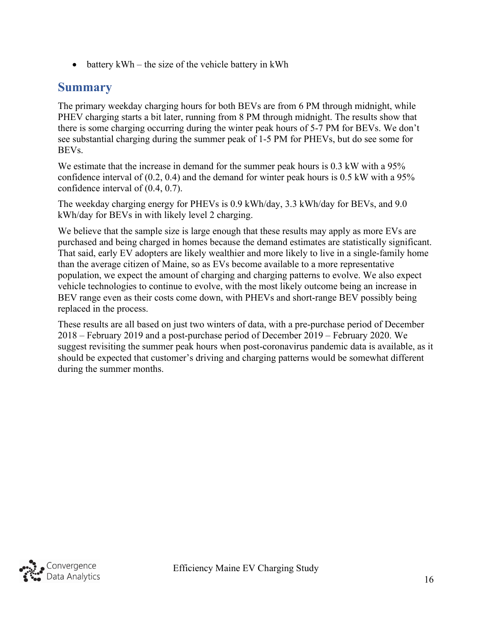• battery  $kWh$  – the size of the vehicle battery in  $kWh$ 

### <span id="page-16-0"></span>**Summary**

The primary weekday charging hours for both BEVs are from 6 PM through midnight, while PHEV charging starts a bit later, running from 8 PM through midnight. The results show that there is some charging occurring during the winter peak hours of 5-7 PM for BEVs. We don't see substantial charging during the summer peak of 1-5 PM for PHEVs, but do see some for BEVs.

We estimate that the increase in demand for the summer peak hours is 0.3 kW with a 95% confidence interval of (0.2, 0.4) and the demand for winter peak hours is 0.5 kW with a 95% confidence interval of (0.4, 0.7).

The weekday charging energy for PHEVs is 0.9 kWh/day, 3.3 kWh/day for BEVs, and 9.0 kWh/day for BEVs in with likely level 2 charging.

We believe that the sample size is large enough that these results may apply as more EVs are purchased and being charged in homes because the demand estimates are statistically significant. That said, early EV adopters are likely wealthier and more likely to live in a single-family home than the average citizen of Maine, so as EVs become available to a more representative population, we expect the amount of charging and charging patterns to evolve. We also expect vehicle technologies to continue to evolve, with the most likely outcome being an increase in BEV range even as their costs come down, with PHEVs and short-range BEV possibly being replaced in the process.

These results are all based on just two winters of data, with a pre-purchase period of December 2018 – February 2019 and a post-purchase period of December 2019 – February 2020. We suggest revisiting the summer peak hours when post-coronavirus pandemic data is available, as it should be expected that customer's driving and charging patterns would be somewhat different during the summer months.